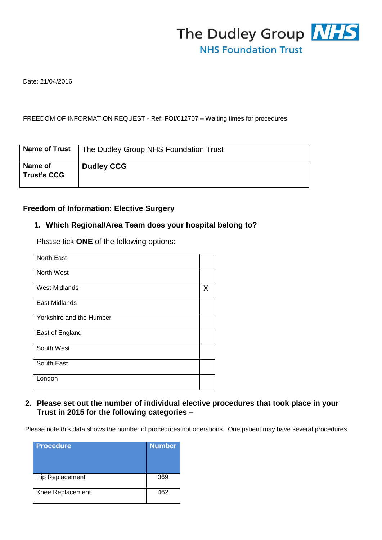

Date: 21/04/2016

#### FREEDOM OF INFORMATION REQUEST - Ref: FOI/012707 **–** Waiting times for procedures

| <b>Name of Trust</b>          | The Dudley Group NHS Foundation Trust |
|-------------------------------|---------------------------------------|
| Name of<br><b>Trust's CCG</b> | <b>Dudley CCG</b>                     |

### **Freedom of Information: Elective Surgery**

# **1. Which Regional/Area Team does your hospital belong to?**

Please tick **ONE** of the following options:

| <b>North East</b>        |   |
|--------------------------|---|
| North West               |   |
| <b>West Midlands</b>     | X |
| East Midlands            |   |
| Yorkshire and the Humber |   |
| East of England          |   |
| South West               |   |
| South East               |   |
| London                   |   |

### **2. Please set out the number of individual elective procedures that took place in your Trust in 2015 for the following categories –**

Please note this data shows the number of procedures not operations. One patient may have several procedures

| <b>Procedure</b>       | <b>Number</b> |
|------------------------|---------------|
| <b>Hip Replacement</b> | 369           |
| Knee Replacement       | 462           |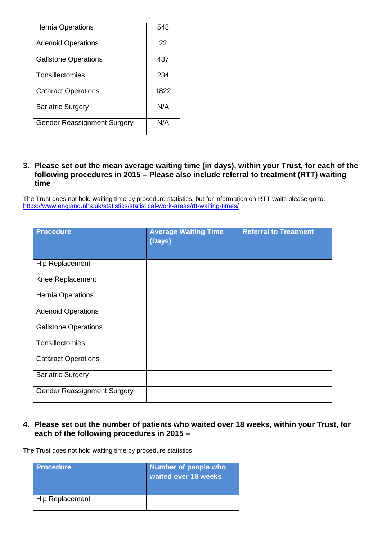| <b>Hernia Operations</b>           | 548  |
|------------------------------------|------|
| <b>Adenoid Operations</b>          | 22   |
| <b>Gallstone Operations</b>        | 437  |
| Tonsillectomies                    | 234  |
| <b>Cataract Operations</b>         | 1822 |
| <b>Bariatric Surgery</b>           | N/A  |
| <b>Gender Reassignment Surgery</b> | N/A  |

### **3. Please set out the mean average waiting time (in days), within your Trust, for each of the following procedures in 2015 – Please also include referral to treatment (RTT) waiting time**

The Trust does not hold waiting time by procedure statistics, but for information on RTT waits please go to: <https://www.england.nhs.uk/statistics/statistical-work-areas/rtt-waiting-times/>

| <b>Procedure</b>                   | <b>Average Waiting Time</b><br>(Days) | <b>Referral to Treatment</b> |
|------------------------------------|---------------------------------------|------------------------------|
| Hip Replacement                    |                                       |                              |
| Knee Replacement                   |                                       |                              |
| Hernia Operations                  |                                       |                              |
| <b>Adenoid Operations</b>          |                                       |                              |
| <b>Gallstone Operations</b>        |                                       |                              |
| Tonsillectomies                    |                                       |                              |
| <b>Cataract Operations</b>         |                                       |                              |
| <b>Bariatric Surgery</b>           |                                       |                              |
| <b>Gender Reassignment Surgery</b> |                                       |                              |

### **4. Please set out the number of patients who waited over 18 weeks, within your Trust, for each of the following procedures in 2015 –**

The Trust does not hold waiting time by procedure statistics

| <b>Procedure</b>       | Number of people who<br>waited over 18 weeks |
|------------------------|----------------------------------------------|
| <b>Hip Replacement</b> |                                              |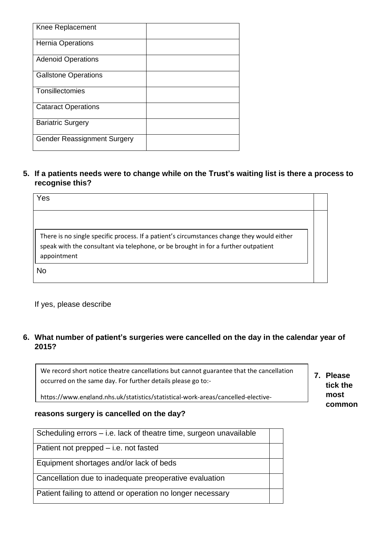| Knee Replacement                   |  |
|------------------------------------|--|
| <b>Hernia Operations</b>           |  |
| <b>Adenoid Operations</b>          |  |
| <b>Gallstone Operations</b>        |  |
| Tonsillectomies                    |  |
| <b>Cataract Operations</b>         |  |
| <b>Bariatric Surgery</b>           |  |
| <b>Gender Reassignment Surgery</b> |  |

**5. If a patients needs were to change while on the Trust's waiting list is there a process to recognise this?**

| Yes                                                                                                                                                                                             |  |
|-------------------------------------------------------------------------------------------------------------------------------------------------------------------------------------------------|--|
| There is no single specific process. If a patient's circumstances change they would either<br>speak with the consultant via telephone, or be brought in for a further outpatient<br>appointment |  |
| No                                                                                                                                                                                              |  |

If yes, please describe

## **6. What number of patient's surgeries were cancelled on the day in the calendar year of 2015?**

We record short notice theatre cancellations but cannot guarantee that the cancellation occurred on the same day. For further details please go to:-

https://www.england.nhs.uk/statistics/statistical-work-areas/cancelled-elective-

#### **reasons surgery is cancelled on the day?** operations/cancelled-ops-data/

| Scheduling errors – i.e. lack of theatre time, surgeon unavailable |  |
|--------------------------------------------------------------------|--|
| Patient not prepped – i.e. not fasted                              |  |
| Equipment shortages and/or lack of beds                            |  |
| Cancellation due to inadequate preoperative evaluation             |  |
| Patient failing to attend or operation no longer necessary         |  |

**7. Please tick the most common**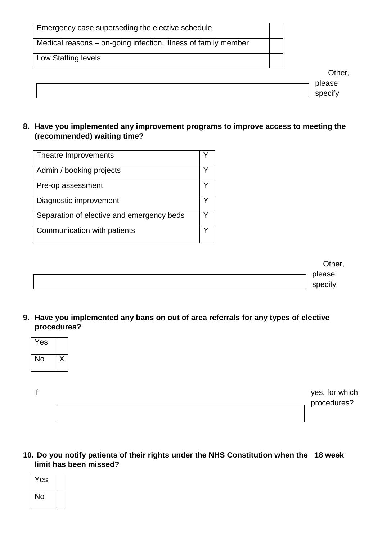| Emergency case superseding the elective schedule               |                   |
|----------------------------------------------------------------|-------------------|
| Medical reasons – on-going infection, illness of family member |                   |
| Low Staffing levels                                            |                   |
|                                                                | Other,            |
|                                                                | please<br>specify |

### **8. Have you implemented any improvement programs to improve access to meeting the (recommended) waiting time?**

| v<br>V |
|--------|
|        |
|        |
|        |
| v      |
| v      |
|        |

|  | Other,  |
|--|---------|
|  | please  |
|  | specify |

**9. Have you implemented any bans on out of area referrals for any types of elective procedures?**

| Yes |  |
|-----|--|
| No  |  |

|  | yes, for which<br>procedures? |
|--|-------------------------------|
|  |                               |

## **10. Do you notify patients of their rights under the NHS Constitution when the 18 week limit has been missed?**

| Yes |  |
|-----|--|
| No  |  |